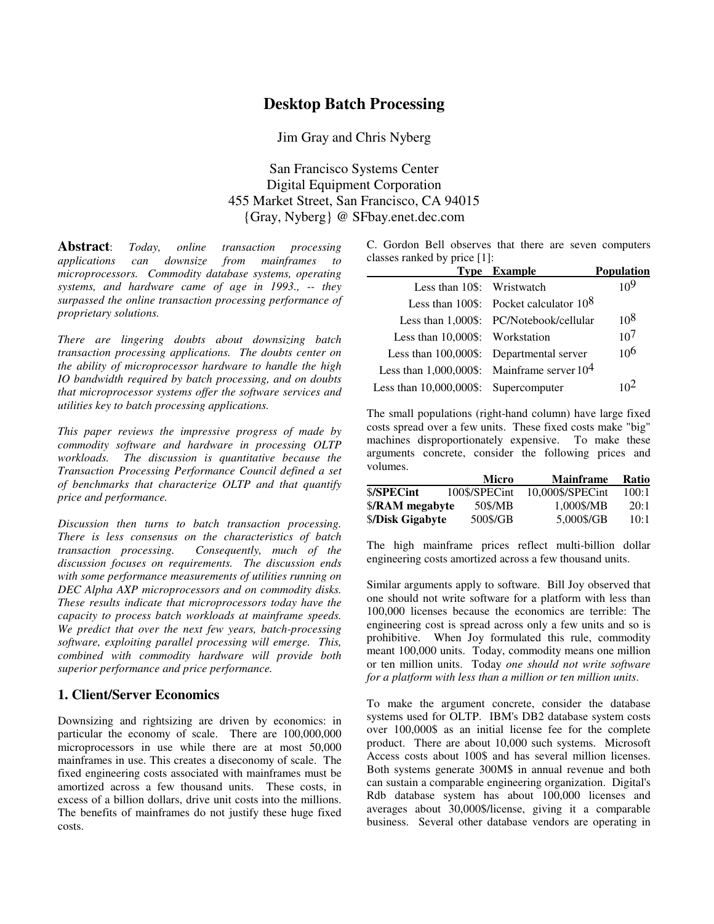# **Desktop Batch Processing**

Jim Gray and Chris Nyberg

San Francisco Systems Center Digital Equipment Corporation 455 Market Street, San Francisco, CA 94015 {Gray, Nyberg} @ SFbay.enet.dec.com

**Abstract**: *Today, online transaction processing applications can downsize from mainframes to microprocessors. Commodity database systems, operating systems, and hardware came of age in 1993., -- they surpassed the online transaction processing performance of proprietary solutions.*

*There are lingering doubts about downsizing batch transaction processing applications. The doubts center on the ability of microprocessor hardware to handle the high IO bandwidth required by batch processing, and on doubts that microprocessor systems offer the software services and utilities key to batch processing applications.*

*This paper reviews the impressive progress of made by commodity software and hardware in processing OLTP workloads. The discussion is quantitative because the Transaction Processing Performance Council defined a set of benchmarks that characterize OLTP and that quantify price and performance.*

*Discussion then turns to batch transaction processing. There is less consensus on the characteristics of batch transaction processing. Consequently, much of the discussion focuses on requirements. The discussion ends with some performance measurements of utilities running on DEC Alpha AXP microprocessors and on commodity disks. These results indicate that microprocessors today have the capacity to process batch workloads at mainframe speeds. We predict that over the next few years, batch-processing software, exploiting parallel processing will emerge. This, combined with commodity hardware will provide both superior performance and price performance.*

## **1. Client/Server Economics**

Downsizing and rightsizing are driven by economics: in particular the economy of scale. There are 100,000,000 microprocessors in use while there are at most 50,000 mainframes in use. This creates a diseconomy of scale. The fixed engineering costs associated with mainframes must be amortized across a few thousand units. These costs in excess of a billion dollars, drive unit costs into the millions. The benefits of mainframes do not justify these huge fixed costs.

C. Gordon Bell observes that there are seven computers classes ranked by price [1]:

|                                                  | <b>Type Example</b>                       | <b>Population</b> |
|--------------------------------------------------|-------------------------------------------|-------------------|
| Less than 10\$: Wristwatch                       |                                           | 109               |
|                                                  | Less than 100\$: Pocket calculator $10^8$ |                   |
|                                                  | Less than 1,000\$: PC/Notebook/cellular   | 10 <sup>8</sup>   |
| Less than 10,000\$: Workstation                  |                                           | 10 <sup>7</sup>   |
|                                                  | Less than 100,000\$: Departmental server  | 10 <sup>6</sup>   |
| Less than $1,000,000$ \$: Mainframe server $104$ |                                           |                   |
| Less than 10,000,000\$: Supercomputer            |                                           |                   |

The small populations (right-hand column) have large fixed costs spread over a few units. These fixed costs make "big" machines disproportionately expensive. To make these arguments concrete, consider the following prices and volumes.

|                  | Micro         | <b>Mainframe</b> | Ratio |
|------------------|---------------|------------------|-------|
| \$/SPECint       | 100\$/SPECint | 10,000\$/SPECint | 100:1 |
| \$/RAM megabyte  | 50\$/MB       | 1.000\$/MB       | 20:1  |
| \$/Disk Gigabyte | 500\$/GB      | 5.000\$/GB       | 10:1  |

The high mainframe prices reflect multi-billion dollar engineering costs amortized across a few thousand units.

Similar arguments apply to software. Bill Joy observed that one should not write software for a platform with less than 100,000 licenses because the economics are terrible: The engineering cost is spread across only a few units and so is prohibitive. When Joy formulated this rule, commodity meant 100,000 units. Today, commodity means one million or ten million units. Today *one should not write software for a platform with less than a million or ten million units*.

To make the argument concrete, consider the database systems used for OLTP. IBM's DB2 database system costs over 100,000\$ as an initial license fee for the complete product. There are about 10,000 such systems. Microsoft Access costs about 100\$ and has several million licenses. Both systems generate 300M\$ in annual revenue and both can sustain a comparable engineering organization. Digital's Rdb database system has about 100,000 licenses and averages about 30,000\$/license, giving it a comparable business. Several other database vendors are operating in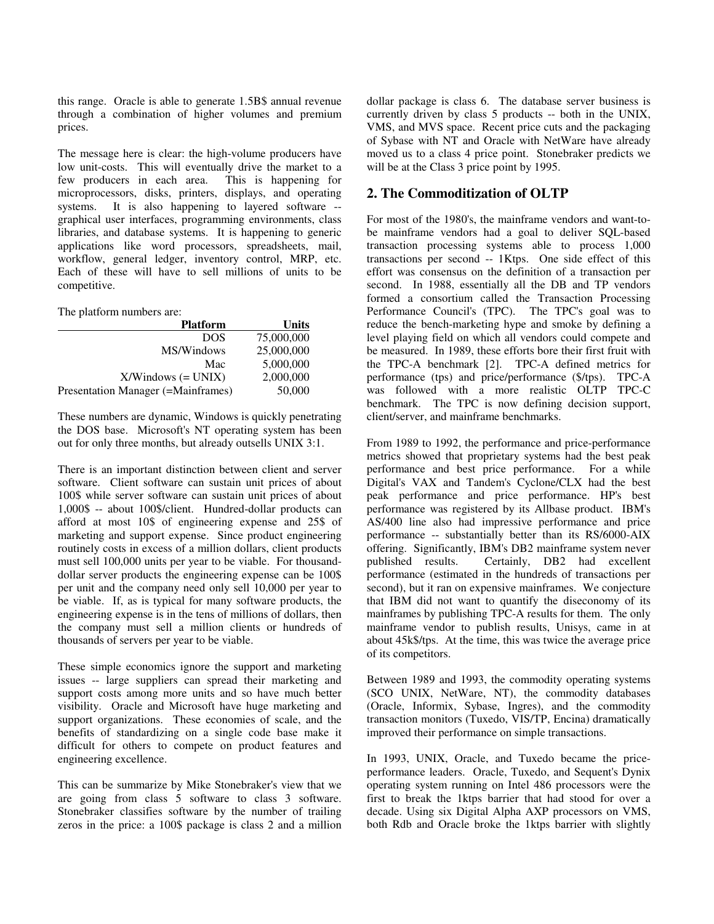this range. Oracle is able to generate 1.5B\$ annual revenue through a combination of higher volumes and premium prices.

The message here is clear: the high-volume producers have low unit-costs. This will eventually drive the market to a few producers in each area. This is happening for few producers in each area. microprocessors, disks, printers, displays, and operating systems. It is also happening to layered software - graphical user interfaces, programming environments, class libraries, and database systems. It is happening to generic applications like word processors, spreadsheets, mail, workflow, general ledger, inventory control, MRP, etc. Each of these will have to sell millions of units to be competitive.

#### The platform numbers are:

| <b>Platform</b>                    | <b>Units</b> |
|------------------------------------|--------------|
| <b>DOS</b>                         | 75,000,000   |
| MS/Windows                         | 25,000,000   |
| Mac                                | 5,000,000    |
| $X/W$ indows (= UNIX)              | 2,000,000    |
| Presentation Manager (=Mainframes) | 50,000       |

These numbers are dynamic, Windows is quickly penetrating the DOS base. Microsoft's NT operating system has been out for only three months, but already outsells UNIX 3:1.

There is an important distinction between client and server software. Client software can sustain unit prices of about 100\$ while server software can sustain unit prices of about 1,000\$ -- about 100\$/client. Hundred-dollar products can afford at most 10\$ of engineering expense and 25\$ of marketing and support expense. Since product engineering routinely costs in excess of a million dollars, client products must sell 100,000 units per year to be viable. For thousanddollar server products the engineering expense can be 100\$ per unit and the company need only sell 10,000 per year to be viable. If, as is typical for many software products, the engineering expense is in the tens of millions of dollars, then the company must sell a million clients or hundreds of thousands of servers per year to be viable.

These simple economics ignore the support and marketing issues -- large suppliers can spread their marketing and support costs among more units and so have much better visibility. Oracle and Microsoft have huge marketing and support organizations. These economies of scale, and the benefits of standardizing on a single code base make it difficult for others to compete on product features and engineering excellence.

This can be summarize by Mike Stonebraker's view that we are going from class 5 software to class 3 software. Stonebraker classifies software by the number of trailing zeros in the price: a 100\$ package is class 2 and a million dollar package is class 6. The database server business is currently driven by class 5 products -- both in the UNIX, VMS, and MVS space. Recent price cuts and the packaging of Sybase with NT and Oracle with NetWare have already moved us to a class 4 price point. Stonebraker predicts we will be at the Class 3 price point by 1995.

## **2. The Commoditization of OLTP**

For most of the 1980's, the mainframe vendors and want-tobe mainframe vendors had a goal to deliver SQL-based transaction processing systems able to process 1,000 transactions per second -- 1Ktps. One side effect of this effort was consensus on the definition of a transaction per second. In 1988, essentially all the DB and TP vendors formed a consortium called the Transaction Processing Performance Council's (TPC). The TPC's goal was to reduce the bench-marketing hype and smoke by defining a level playing field on which all vendors could compete and be measured. In 1989, these efforts bore their first fruit with the TPC-A benchmark [2]. TPC-A defined metrics for performance (tps) and price/performance (\$/tps). TPC-A was followed with a more realistic OLTP TPC-C benchmark. The TPC is now defining decision support, client/server, and mainframe benchmarks.

From 1989 to 1992, the performance and price-performance metrics showed that proprietary systems had the best peak performance and best price performance. For a while Digital's VAX and Tandem's Cyclone/CLX had the best peak performance and price performance. HP's best performance was registered by its Allbase product. IBM's AS/400 line also had impressive performance and price performance -- substantially better than its RS/6000-AIX offering. Significantly, IBM's DB2 mainframe system never published results. Certainly, DB2 had excellent performance (estimated in the hundreds of transactions per second), but it ran on expensive mainframes. We conjecture that IBM did not want to quantify the diseconomy of its mainframes by publishing TPC-A results for them. The only mainframe vendor to publish results, Unisys, came in at about 45k\$/tps. At the time, this was twice the average price of its competitors.

Between 1989 and 1993, the commodity operating systems (SCO UNIX, NetWare, NT), the commodity databases (Oracle, Informix, Sybase, Ingres), and the commodity transaction monitors (Tuxedo, VIS/TP, Encina) dramatically improved their performance on simple transactions.

In 1993, UNIX, Oracle, and Tuxedo became the priceperformance leaders. Oracle, Tuxedo, and Sequent's Dynix operating system running on Intel 486 processors were the first to break the 1ktps barrier that had stood for over a decade. Using six Digital Alpha AXP processors on VMS, both Rdb and Oracle broke the 1ktps barrier with slightly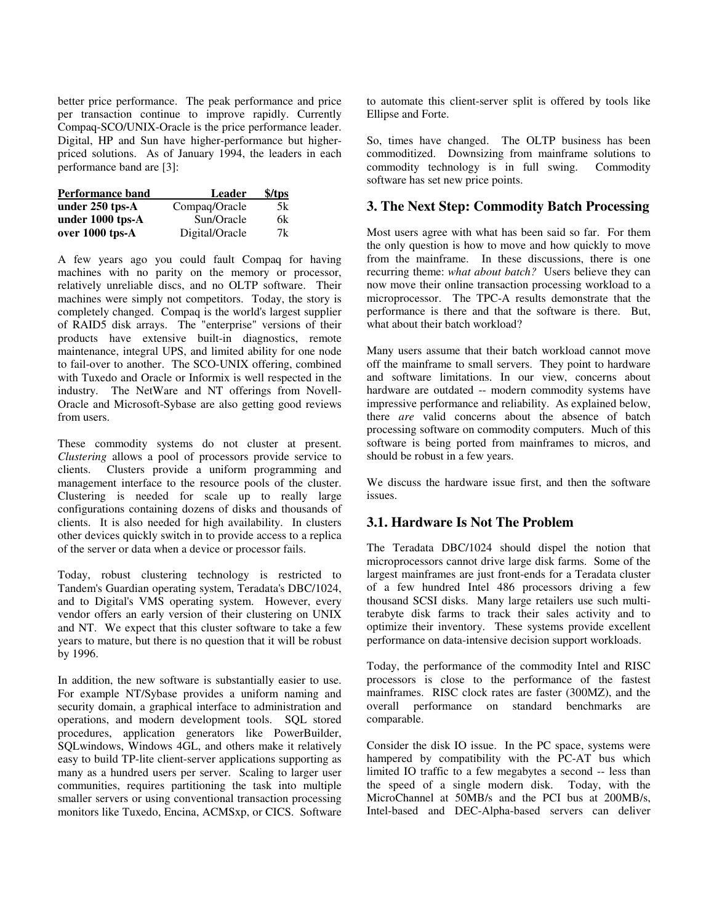better price performance. The peak performance and price per transaction continue to improve rapidly. Currently Compaq-SCO/UNIX-Oracle is the price performance leader. Digital, HP and Sun have higher-performance but higherpriced solutions. As of January 1994, the leaders in each performance band are [3]:

| <b>Performance band</b> | Leader         | \$ / tps |
|-------------------------|----------------|----------|
| under $250$ tps- $A$    | Compaq/Oracle  | 5k       |
| under 1000 tps-A        | Sun/Oracle     | 6k       |
| over 1000 tps-A         | Digital/Oracle | 7k       |

A few years ago you could fault Compaq for having machines with no parity on the memory or processor, relatively unreliable discs, and no OLTP software. Their machines were simply not competitors. Today, the story is completely changed. Compaq is the world's largest supplier of RAID5 disk arrays. The "enterprise" versions of their products have extensive built-in diagnostics, remote maintenance, integral UPS, and limited ability for one node to fail-over to another. The SCO-UNIX offering, combined with Tuxedo and Oracle or Informix is well respected in the industry. The NetWare and NT offerings from Novell-Oracle and Microsoft-Sybase are also getting good reviews from users.

These commodity systems do not cluster at present. *Clustering* allows a pool of processors provide service to clients. Clusters provide a uniform programming and management interface to the resource pools of the cluster. Clustering is needed for scale up to really large configurations containing dozens of disks and thousands of clients. It is also needed for high availability. In clusters other devices quickly switch in to provide access to a replica of the server or data when a device or processor fails.

Today, robust clustering technology is restricted to Tandem's Guardian operating system, Teradata's DBC/1024, and to Digital's VMS operating system. However, every vendor offers an early version of their clustering on UNIX and NT. We expect that this cluster software to take a few years to mature, but there is no question that it will be robust by 1996.

In addition, the new software is substantially easier to use. For example NT/Sybase provides a uniform naming and security domain, a graphical interface to administration and operations, and modern development tools. SQL stored procedures, application generators like PowerBuilder, SQLwindows, Windows 4GL, and others make it relatively easy to build TP-lite client-server applications supporting as many as a hundred users per server. Scaling to larger user communities, requires partitioning the task into multiple smaller servers or using conventional transaction processing monitors like Tuxedo, Encina, ACMSxp, or CICS. Software to automate this client-server split is offered by tools like Ellipse and Forte.

So, times have changed. The OLTP business has been commoditized. Downsizing from mainframe solutions to commodity technology is in full swing. software has set new price points.

## **3. The Next Step: Commodity Batch Processing**

Most users agree with what has been said so far. For them the only question is how to move and how quickly to move from the mainframe. In these discussions, there is one recurring theme: *what about batch?* Users believe they can now move their online transaction processing workload to a microprocessor. The TPC-A results demonstrate that the performance is there and that the software is there. But, what about their batch workload?

Many users assume that their batch workload cannot move off the mainframe to small servers. They point to hardware and software limitations. In our view, concerns about hardware are outdated -- modern commodity systems have impressive performance and reliability. As explained below, there *are* valid concerns about the absence of batch processing software on commodity computers. Much of this software is being ported from mainframes to micros, and should be robust in a few years.

We discuss the hardware issue first, and then the software issues.

## **3.1. Hardware Is Not The Problem**

The Teradata DBC/1024 should dispel the notion that microprocessors cannot drive large disk farms. Some of the largest mainframes are just front-ends for a Teradata cluster of a few hundred Intel 486 processors driving a few thousand SCSI disks. Many large retailers use such multiterabyte disk farms to track their sales activity and to optimize their inventory. These systems provide excellent performance on data-intensive decision support workloads.

Today, the performance of the commodity Intel and RISC processors is close to the performance of the fastest mainframes. RISC clock rates are faster (300MZ), and the overall performance on standard benchmarks are comparable.

Consider the disk IO issue. In the PC space, systems were hampered by compatibility with the PC-AT bus which limited IO traffic to a few megabytes a second -- less than the speed of a single modern disk. Today, with the MicroChannel at 50MB/s and the PCI bus at 200MB/s, Intel-based and DEC-Alpha-based servers can deliver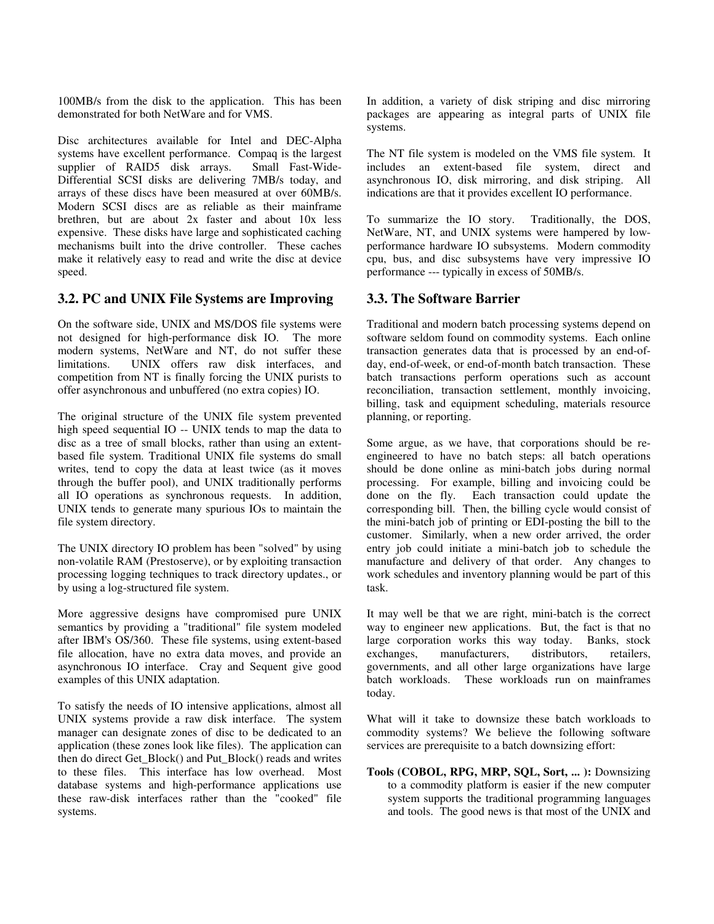100MB/s from the disk to the application. This has been demonstrated for both NetWare and for VMS.

Disc architectures available for Intel and DEC-Alpha systems have excellent performance. Compaq is the largest<br>supplier of RAID5 disk arrays. Small Fast-Wide $supplier$  of RAID5 disk arrays. Differential SCSI disks are delivering 7MB/s today, and arrays of these discs have been measured at over 60MB/s. Modern SCSI discs are as reliable as their mainframe brethren, but are about 2x faster and about 10x less expensive. These disks have large and sophisticated caching mechanisms built into the drive controller. These caches make it relatively easy to read and write the disc at device speed.

## **3.2. PC and UNIX File Systems are Improving**

On the software side, UNIX and MS/DOS file systems were not designed for high-performance disk IO. The more modern systems, NetWare and NT, do not suffer these limitations. UNIX offers raw disk interfaces, and competition from NT is finally forcing the UNIX purists to offer asynchronous and unbuffered (no extra copies) IO.

The original structure of the UNIX file system prevented high speed sequential IO -- UNIX tends to map the data to disc as a tree of small blocks, rather than using an extentbased file system. Traditional UNIX file systems do small writes, tend to copy the data at least twice (as it moves through the buffer pool), and UNIX traditionally performs all IO operations as synchronous requests. In addition, UNIX tends to generate many spurious IOs to maintain the file system directory.

The UNIX directory IO problem has been "solved" by using non-volatile RAM (Prestoserve), or by exploiting transaction processing logging techniques to track directory updates., or by using a log-structured file system.

More aggressive designs have compromised pure UNIX semantics by providing a "traditional" file system modeled after IBM's OS/360. These file systems, using extent-based file allocation, have no extra data moves, and provide an asynchronous IO interface. Cray and Sequent give good examples of this UNIX adaptation.

To satisfy the needs of IO intensive applications, almost all UNIX systems provide a raw disk interface. The system manager can designate zones of disc to be dedicated to an application (these zones look like files). The application can then do direct Get\_Block() and Put\_Block() reads and writes to these files. This interface has low overhead. Most database systems and high-performance applications use these raw-disk interfaces rather than the "cooked" file systems.

In addition, a variety of disk striping and disc mirroring packages are appearing as integral parts of UNIX file systems.

The NT file system is modeled on the VMS file system. It includes an extent-based file system, direct and asynchronous IO, disk mirroring, and disk striping. All indications are that it provides excellent IO performance.

To summarize the IO story. Traditionally, the DOS, NetWare, NT, and UNIX systems were hampered by lowperformance hardware IO subsystems. Modern commodity cpu, bus, and disc subsystems have very impressive IO performance --- typically in excess of 50MB/s.

## **3.3. The Software Barrier**

Traditional and modern batch processing systems depend on software seldom found on commodity systems. Each online transaction generates data that is processed by an end-ofday, end-of-week, or end-of-month batch transaction. These batch transactions perform operations such as account reconciliation, transaction settlement, monthly invoicing, billing, task and equipment scheduling, materials resource planning, or reporting.

Some argue, as we have, that corporations should be reengineered to have no batch steps: all batch operations should be done online as mini-batch jobs during normal processing. For example, billing and invoicing could be done on the fly. Each transaction could update the corresponding bill. Then, the billing cycle would consist of the mini-batch job of printing or EDI-posting the bill to the customer. Similarly, when a new order arrived, the order entry job could initiate a mini-batch job to schedule the manufacture and delivery of that order. Any changes to work schedules and inventory planning would be part of this task.

It may well be that we are right, mini-batch is the correct way to engineer new applications. But, the fact is that no large corporation works this way today. Banks, stock exchanges. manufacturers. distributors. retailers. manufacturers, distributors, retailers, governments, and all other large organizations have large batch workloads. These workloads run on mainframes today.

What will it take to downsize these batch workloads to commodity systems? We believe the following software services are prerequisite to a batch downsizing effort:

**Tools (COBOL, RPG, MRP, SQL, Sort, ... ):** Downsizing to a commodity platform is easier if the new computer system supports the traditional programming languages and tools. The good news is that most of the UNIX and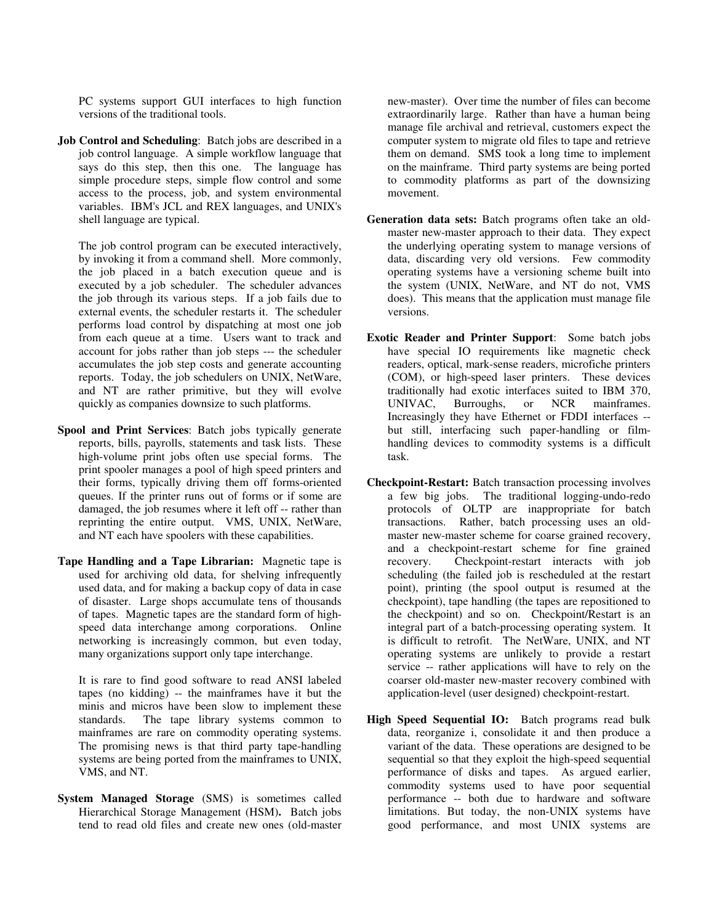PC systems support GUI interfaces to high function versions of the traditional tools.

**Job Control and Scheduling**: Batch jobs are described in a job control language. A simple workflow language that says do this step, then this one. The language has simple procedure steps, simple flow control and some access to the process, job, and system environmental variables. IBM's JCL and REX languages, and UNIX's shell language are typical.

The job control program can be executed interactively, by invoking it from a command shell. More commonly, the job placed in a batch execution queue and is executed by a job scheduler. The scheduler advances the job through its various steps. If a job fails due to external events, the scheduler restarts it. The scheduler performs load control by dispatching at most one job from each queue at a time. Users want to track and account for jobs rather than job steps --- the scheduler accumulates the job step costs and generate accounting reports. Today, the job schedulers on UNIX, NetWare, and NT are rather primitive, but they will evolve quickly as companies downsize to such platforms.

- **Spool and Print Services**: Batch jobs typically generate reports, bills, payrolls, statements and task lists. These high-volume print jobs often use special forms. The print spooler manages a pool of high speed printers and their forms, typically driving them off forms-oriented queues. If the printer runs out of forms or if some are damaged, the job resumes where it left off -- rather than reprinting the entire output. VMS, UNIX, NetWare, and NT each have spoolers with these capabilities.
- **Tape Handling and a Tape Librarian:** Magnetic tape is used for archiving old data, for shelving infrequently used data, and for making a backup copy of data in case of disaster. Large shops accumulate tens of thousands of tapes. Magnetic tapes are the standard form of highspeed data interchange among corporations. Online networking is increasingly common, but even today, many organizations support only tape interchange.

It is rare to find good software to read ANSI labeled tapes (no kidding) -- the mainframes have it but the minis and micros have been slow to implement these standards. The tape library systems common to mainframes are rare on commodity operating systems. The promising news is that third party tape-handling systems are being ported from the mainframes to UNIX, VMS, and NT.

**System Managed Storage** (SMS) is sometimes called Hierarchical Storage Management (HSM)**.** Batch jobs tend to read old files and create new ones (old-master new-master). Over time the number of files can become extraordinarily large. Rather than have a human being manage file archival and retrieval, customers expect the computer system to migrate old files to tape and retrieve them on demand. SMS took a long time to implement on the mainframe. Third party systems are being ported to commodity platforms as part of the downsizing movement.

- **Generation data sets:** Batch programs often take an oldmaster new-master approach to their data. They expect the underlying operating system to manage versions of data, discarding very old versions. Few commodity operating systems have a versioning scheme built into the system (UNIX, NetWare, and NT do not, VMS does). This means that the application must manage file versions.
- **Exotic Reader and Printer Support**: Some batch jobs have special IO requirements like magnetic check readers, optical, mark-sense readers, microfiche printers (COM), or high-speed laser printers. These devices traditionally had exotic interfaces suited to IBM 370, UNIVAC, Burroughs, or NCR mainframes. Increasingly they have Ethernet or FDDI interfaces - but still, interfacing such paper-handling or filmhandling devices to commodity systems is a difficult task.
- **Checkpoint-Restart:** Batch transaction processing involves a few big jobs. The traditional logging-undo-redo protocols of OLTP are inappropriate for batch transactions. Rather, batch processing uses an oldmaster new-master scheme for coarse grained recovery, and a checkpoint-restart scheme for fine grained recovery. Checkpoint-restart interacts with job scheduling (the failed job is rescheduled at the restart point), printing (the spool output is resumed at the checkpoint), tape handling (the tapes are repositioned to the checkpoint) and so on. Checkpoint/Restart is an integral part of a batch-processing operating system. It is difficult to retrofit. The NetWare, UNIX, and NT operating systems are unlikely to provide a restart service -- rather applications will have to rely on the coarser old-master new-master recovery combined with application-level (user designed) checkpoint-restart.
- **High Speed Sequential IO:** Batch programs read bulk data, reorganize i, consolidate it and then produce a variant of the data. These operations are designed to be sequential so that they exploit the high-speed sequential performance of disks and tapes. As argued earlier, commodity systems used to have poor sequential performance -- both due to hardware and software limitations. But today, the non-UNIX systems have good performance, and most UNIX systems are